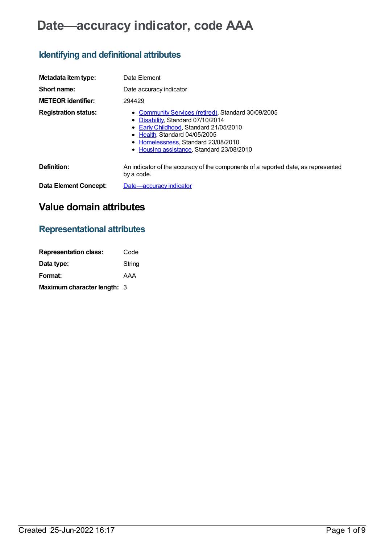# **Date—accuracy indicator, code AAA**

## **Identifying and definitional attributes**

| Metadata item type:         | Data Element                                                                                                                                                                                                                                              |
|-----------------------------|-----------------------------------------------------------------------------------------------------------------------------------------------------------------------------------------------------------------------------------------------------------|
| Short name:                 | Date accuracy indicator                                                                                                                                                                                                                                   |
| <b>METEOR</b> identifier:   | 294429                                                                                                                                                                                                                                                    |
| <b>Registration status:</b> | <b>Community Services (retired), Standard 30/09/2005</b><br>• Disability, Standard 07/10/2014<br>• Early Childhood, Standard 21/05/2010<br>• Health Standard 04/05/2005<br>• Homelessness, Standard 23/08/2010<br>Housing assistance, Standard 23/08/2010 |
| Definition:                 | An indicator of the accuracy of the components of a reported date, as represented<br>by a code.                                                                                                                                                           |
| Data Element Concept:       | Date-accuracy indicator                                                                                                                                                                                                                                   |

## **Value domain attributes**

### **Representational attributes**

| <b>Representation class:</b> | Code   |
|------------------------------|--------|
| Data type:                   | String |
| Format:                      | AAA    |
| Maximum character length: 3  |        |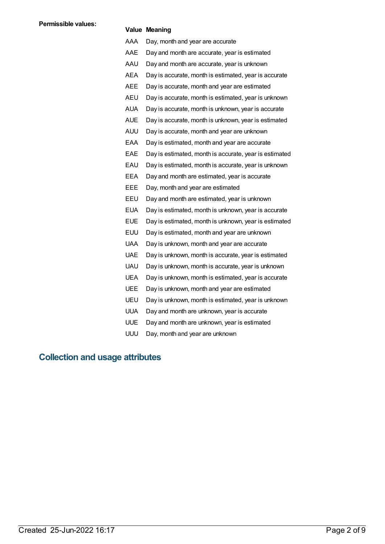### **Value Meaning**

AAA Day, month and year are accurate AAE Day and month are accurate, year is estimated AAU Day and month are accurate, year is unknown AEA Day is accurate, month is estimated, year is accurate AEE Day is accurate, month and year are estimated AEU Day is accurate, month is estimated, year is unknown AUA Day is accurate, month is unknown, year is accurate AUE Day is accurate, month is unknown, year is estimated AUU Day is accurate, month and year are unknown EAA Day is estimated, month and year are accurate EAE Day is estimated, month is accurate, year is estimated EAU Day is estimated, month is accurate, year is unknown EEA Day and month are estimated, year is accurate EEE Day, month and year are estimated EEU Day and month are estimated, year is unknown EUA Day is estimated, month is unknown, year is accurate EUE Day is estimated, month is unknown, year is estimated EUU Day is estimated, month and year are unknown UAA Day is unknown, month and year are accurate UAE Day is unknown, month is accurate, year is estimated UAU Day is unknown, month is accurate, year is unknown UEA Day is unknown, month is estimated, year is accurate UEE Day is unknown, month and year are estimated UEU Day is unknown, month is estimated, year is unknown UUA Day and month are unknown, year is accurate UUE Day and month are unknown, year is estimated UUU Day, month and year are unknown

### **Collection and usage attributes**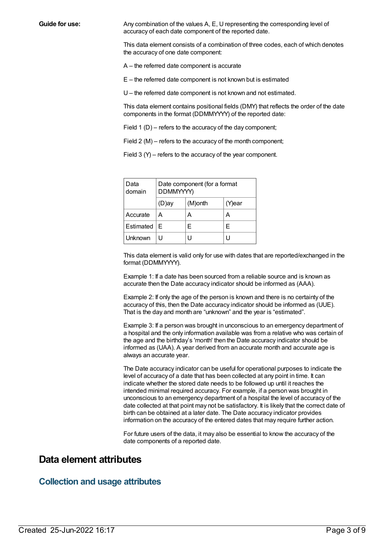**Guide for use:** Any combination of the values A, E, U representing the corresponding level of accuracy of each date component of the reported date.

> This data element consists of a combination of three codes, each of which denotes the accuracy of one date component:

A – the referred date component is accurate

E – the referred date component is not known but is estimated

U – the referred date component is not known and not estimated.

This data element contains positional fields (DMY) that reflects the order of the date components in the format (DDMMYYYY) of the reported date:

Field 1 (D) – refers to the accuracy of the day component;

Field 2 (M) – refers to the accuracy of the month component;

Field 3 (Y) – refers to the accuracy of the year component.

| Data<br>domain | Date component (for a format<br>DDMMYYYY) |         |        |
|----------------|-------------------------------------------|---------|--------|
|                | (D)ay                                     | (M)onth | (Y)ear |
| Accurate       | А                                         | А       | А      |
| Estimated      | F                                         | Е       | F      |
| Unknown        |                                           |         |        |

This data element is valid only for use with dates that are reported/exchanged in the format (DDMMYYYY).

Example 1: If a date has been sourced from a reliable source and is known as accurate then the Date accuracy indicator should be informed as (AAA).

Example 2: If only the age of the person is known and there is no certainty of the accuracy of this, then the Date accuracy indicator should be informed as (UUE). That is the day and month are "unknown" and the year is "estimated".

Example 3: If a person was brought in unconscious to an emergency department of a hospital and the only information available was from a relative who was certain of the age and the birthday's 'month' then the Date accuracy indicator should be informed as (UAA). A year derived from an accurate month and accurate age is always an accurate year.

The Date accuracy indicator can be useful for operational purposes to indicate the level of accuracy of a date that has been collected at any point in time. It can indicate whether the stored date needs to be followed up until it reaches the intended minimal required accuracy. For example, if a person was brought in unconscious to an emergency department of a hospital the level of accuracy of the date collected at that point may not be satisfactory. It is likely that the correct date of birth can be obtained at a later date. The Date accuracy indicator provides information on the accuracy of the entered dates that may require further action.

For future users of the data, it may also be essential to know the accuracy of the date components of a reported date.

### **Data element attributes**

### **Collection and usage attributes**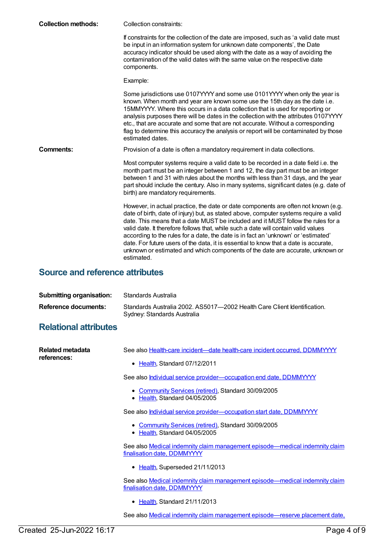| <b>Collection methods:</b> | Collection constraints:                                                                                                                                                                                                                                                                                                                                                                                                                                                                                                                                                                                                             |
|----------------------------|-------------------------------------------------------------------------------------------------------------------------------------------------------------------------------------------------------------------------------------------------------------------------------------------------------------------------------------------------------------------------------------------------------------------------------------------------------------------------------------------------------------------------------------------------------------------------------------------------------------------------------------|
|                            | If constraints for the collection of the date are imposed, such as 'a valid date must<br>be input in an information system for unknown date components', the Date<br>accuracy indicator should be used along with the date as a way of avoiding the<br>contamination of the valid dates with the same value on the respective date<br>components.                                                                                                                                                                                                                                                                                   |
|                            | Example:                                                                                                                                                                                                                                                                                                                                                                                                                                                                                                                                                                                                                            |
|                            | Some jurisdictions use 0107YYYY and some use 0101YYYY when only the year is<br>known. When month and year are known some use the 15th day as the date i.e.<br>15MMYYYY. Where this occurs in a data collection that is used for reporting or<br>analysis purposes there will be dates in the collection with the attributes 0107YYYY<br>etc., that are accurate and some that are not accurate. Without a corresponding<br>flag to determine this accuracy the analysis or report will be contaminated by those<br>estimated dates.                                                                                                 |
| Comments:                  | Provision of a date is often a mandatory requirement in data collections.                                                                                                                                                                                                                                                                                                                                                                                                                                                                                                                                                           |
|                            | Most computer systems require a valid date to be recorded in a date field i.e. the<br>month part must be an integer between 1 and 12, the day part must be an integer<br>between 1 and 31 with rules about the months with less than 31 days, and the year<br>part should include the century. Also in many systems, significant dates (e.g. date of<br>birth) are mandatory requirements.                                                                                                                                                                                                                                          |
|                            | However, in actual practice, the date or date components are often not known (e.g.<br>date of birth, date of injury) but, as stated above, computer systems require a valid<br>date. This means that a date MUST be included and it MUST follow the rules for a<br>valid date. It therefore follows that, while such a date will contain valid values<br>according to the rules for a date, the date is in fact an 'unknown' or 'estimated'<br>date. For future users of the data, it is essential to know that a date is accurate,<br>unknown or estimated and which components of the date are accurate, unknown or<br>estimated. |

## **Source and reference attributes**

| <b>Submitting organisation:</b> | Standards Australia                                                                                     |
|---------------------------------|---------------------------------------------------------------------------------------------------------|
| Reference documents:            | Standards Australia 2002, AS5017-2002 Health Care Client Identification.<br>Sydney: Standards Australia |

## **Relational attributes**

| Related metadata<br>references: | See also Health-care incident—date health-care incident occurred, DDMMYYYY                                 |
|---------------------------------|------------------------------------------------------------------------------------------------------------|
|                                 | • Health, Standard 07/12/2011                                                                              |
|                                 | See also Individual service provider-occupation end date, DDMMYYYY                                         |
|                                 | • Community Services (retired), Standard 30/09/2005<br>• Health, Standard 04/05/2005                       |
|                                 | See also <b>Individual service provider—occupation start date, DDMMYYYY</b>                                |
|                                 | • Community Services (retired), Standard 30/09/2005<br>• Health, Standard 04/05/2005                       |
|                                 | See also Medical indemnity claim management episode-medical indemnity claim<br>finalisation date, DDMMYYYY |
|                                 | • Health, Superseded 21/11/2013                                                                            |
|                                 | See also Medical indemnity claim management episode—medical indemnity claim<br>finalisation date, DDMMYYYY |
|                                 | • Health, Standard 21/11/2013                                                                              |
|                                 | See also Medical indemnity claim management episode—reserve placement date,                                |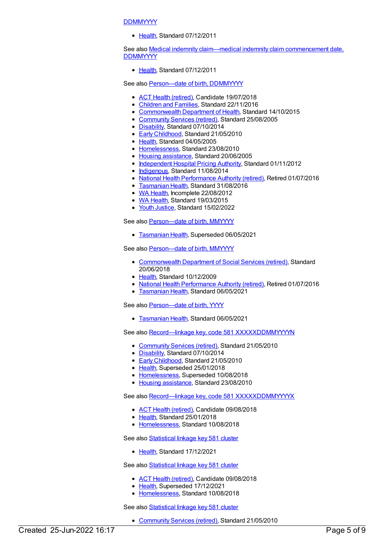### **DDMMYYYY**

[Health](https://meteor.aihw.gov.au/RegistrationAuthority/12), Standard 07/12/2011

See also **Medical indemnity claim—medical indemnity claim [commencement](https://meteor.aihw.gov.au/content/329623) date, DDMMYYYY** 

[Health](https://meteor.aihw.gov.au/RegistrationAuthority/12), Standard 07/12/2011

See also Person-date of birth, DDMMYYYY

- ACT Health [\(retired\)](https://meteor.aihw.gov.au/RegistrationAuthority/9), Candidate 19/07/2018
- [Children](https://meteor.aihw.gov.au/RegistrationAuthority/17) and Families, Standard 22/11/2016
- [Commonwealth](https://meteor.aihw.gov.au/RegistrationAuthority/10) Department of Health, Standard 14/10/2015
- [Community](https://meteor.aihw.gov.au/RegistrationAuthority/1) Services (retired), Standard 25/08/2005
- [Disability](https://meteor.aihw.gov.au/RegistrationAuthority/16), Standard 07/10/2014
- Early [Childhood](https://meteor.aihw.gov.au/RegistrationAuthority/13), Standard 21/05/2010
- [Health](https://meteor.aihw.gov.au/RegistrationAuthority/12), Standard 04/05/2005
- [Homelessness](https://meteor.aihw.gov.au/RegistrationAuthority/14), Standard 23/08/2010
- Housing [assistance](https://meteor.aihw.gov.au/RegistrationAuthority/11), Standard 20/06/2005
- [Independent](https://meteor.aihw.gov.au/RegistrationAuthority/3) Hospital Pricing Authority, Standard 01/11/2012
- [Indigenous](https://meteor.aihw.gov.au/RegistrationAuthority/6), Standard 11/08/2014
- National Health [Performance](https://meteor.aihw.gov.au/RegistrationAuthority/8) Authority (retired), Retired 01/07/2016
- **[Tasmanian](https://meteor.aihw.gov.au/RegistrationAuthority/15) Health, Standard 31/08/2016**
- WA [Health](https://meteor.aihw.gov.au/RegistrationAuthority/2), Incomplete 22/08/2012
- WA [Health](https://meteor.aihw.gov.au/RegistrationAuthority/2), Standard 19/03/2015
- Youth [Justice](https://meteor.aihw.gov.au/RegistrationAuthority/4), Standard 15/02/2022

See also Person-date of birth, MMYYYY

[Tasmanian](https://meteor.aihw.gov.au/RegistrationAuthority/15) Health, Superseded 06/05/2021

See also [Person—date](https://meteor.aihw.gov.au/content/375191) of birth, MMYYYY

- [Commonwealth](https://meteor.aihw.gov.au/RegistrationAuthority/7) Department of Social Services (retired), Standard 20/06/2018
- [Health](https://meteor.aihw.gov.au/RegistrationAuthority/12), Standard 10/12/2009
- National Health [Performance](https://meteor.aihw.gov.au/RegistrationAuthority/8) Authority (retired), Retired 01/07/2016
- **[Tasmanian](https://meteor.aihw.gov.au/RegistrationAuthority/15) Health, Standard 06/05/2021**

See also Person-date of birth, YYYY

**[Tasmanian](https://meteor.aihw.gov.au/RegistrationAuthority/15) Health, Standard 06/05/2021** 

See also Record-linkage key, code 581 [XXXXXDDMMYYYYN](https://meteor.aihw.gov.au/content/349895)

- [Community](https://meteor.aihw.gov.au/RegistrationAuthority/1) Services (retired), Standard 21/05/2010
- [Disability](https://meteor.aihw.gov.au/RegistrationAuthority/16), Standard 07/10/2014
- Early [Childhood](https://meteor.aihw.gov.au/RegistrationAuthority/13), Standard 21/05/2010
- [Health](https://meteor.aihw.gov.au/RegistrationAuthority/12), Superseded 25/01/2018
- [Homelessness](https://meteor.aihw.gov.au/RegistrationAuthority/14), Superseded 10/08/2018
- Housing [assistance](https://meteor.aihw.gov.au/RegistrationAuthority/11), Standard 23/08/2010

See also Record-linkage key, code 581 [XXXXXDDMMYYYYX](https://meteor.aihw.gov.au/content/686241)

- ACT Health [\(retired\)](https://meteor.aihw.gov.au/RegistrationAuthority/9), Candidate 09/08/2018
- [Health](https://meteor.aihw.gov.au/RegistrationAuthority/12), Standard 25/01/2018
- [Homelessness](https://meteor.aihw.gov.au/RegistrationAuthority/14), Standard 10/08/2018

See also **[Statistical](https://meteor.aihw.gov.au/content/750410) linkage key 581 cluster** 

• [Health](https://meteor.aihw.gov.au/RegistrationAuthority/12), Standard 17/12/2021

See also **[Statistical](https://meteor.aihw.gov.au/content/686238) linkage key 581 cluster** 

- ACT Health [\(retired\)](https://meteor.aihw.gov.au/RegistrationAuthority/9), Candidate 09/08/2018
- [Health](https://meteor.aihw.gov.au/RegistrationAuthority/12), Superseded 17/12/2021
- [Homelessness](https://meteor.aihw.gov.au/RegistrationAuthority/14), Standard 10/08/2018

See also [Statistical](https://meteor.aihw.gov.au/content/349510) linkage key 581 cluster

[Community](https://meteor.aihw.gov.au/RegistrationAuthority/1) Services (retired), Standard 21/05/2010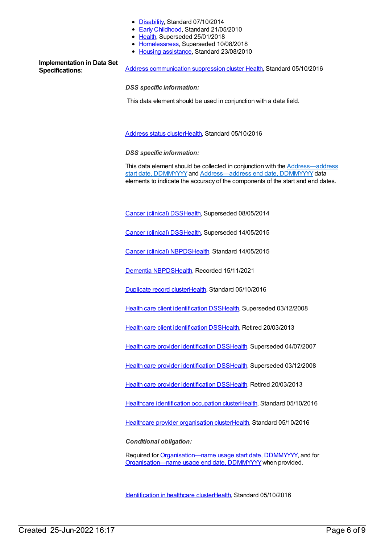- [Disability](https://meteor.aihw.gov.au/RegistrationAuthority/16), Standard 07/10/2014
- Early [Childhood](https://meteor.aihw.gov.au/RegistrationAuthority/13), Standard 21/05/2010
- [Health](https://meteor.aihw.gov.au/RegistrationAuthority/12), Superseded 25/01/2018
- [Homelessness](https://meteor.aihw.gov.au/RegistrationAuthority/14), Superseded 10/08/2018
- Housing [assistance](https://meteor.aihw.gov.au/RegistrationAuthority/11), Standard 23/08/2010

# **Implementation in Data Set**

**Specifications:** Address [communication](https://meteor.aihw.gov.au/content/611161) suppression cluster [Health](https://meteor.aihw.gov.au/RegistrationAuthority/12), Standard 05/10/2016

*DSS specific information:*

This data element should be used in conjunction with a date field.

[Address](https://meteor.aihw.gov.au/content/611143) status cluste[rHealth](https://meteor.aihw.gov.au/RegistrationAuthority/12), Standard 05/10/2016

*DSS specific information:*

This data element should be collected in conjunction with the **Address**—address start date, DDMMYYYY and [Address—address](file:///content/636294) end date, DDMMYYYY data elements to indicate the accuracy of the components of the start and end dates.

Cancer [\(clinical\)](https://meteor.aihw.gov.au/content/394731) DSS[Health](https://meteor.aihw.gov.au/RegistrationAuthority/12), Superseded 08/05/2014

Cancer [\(clinical\)](https://meteor.aihw.gov.au/content/560813) DSS[Health](https://meteor.aihw.gov.au/RegistrationAuthority/12), Superseded 14/05/2015

Cancer [\(clinical\)](https://meteor.aihw.gov.au/content/597861) NBPD[SHealth](https://meteor.aihw.gov.au/RegistrationAuthority/12), Standard 14/05/2015

[Dementia](https://meteor.aihw.gov.au/content/737872) NBPDS[Health](https://meteor.aihw.gov.au/RegistrationAuthority/12), Recorded 15/11/2021

[Duplicate](https://meteor.aihw.gov.au/content/638741) record cluste[rHealth,](https://meteor.aihw.gov.au/RegistrationAuthority/12) Standard 05/10/2016

Health care client [identification](https://meteor.aihw.gov.au/content/288765) DSS[Health,](https://meteor.aihw.gov.au/RegistrationAuthority/12) Superseded 03/12/2008

Health care client [identification](https://meteor.aihw.gov.au/content/374201) DSS[Health,](https://meteor.aihw.gov.au/RegistrationAuthority/12) Retired 20/03/2013

Health care provider [identification](https://meteor.aihw.gov.au/content/289061) DSS[Health](https://meteor.aihw.gov.au/RegistrationAuthority/12), Superseded 04/07/2007

Health care provider [identification](https://meteor.aihw.gov.au/content/356020) DSS[Health](https://meteor.aihw.gov.au/RegistrationAuthority/12), Superseded 03/12/2008

Health care provider [identification](https://meteor.aihw.gov.au/content/374199) DSS[Health](https://meteor.aihw.gov.au/RegistrationAuthority/12), Retired 20/03/2013

Healthcare [identification](https://meteor.aihw.gov.au/content/523815) occupation cluste[rHealth](https://meteor.aihw.gov.au/RegistrationAuthority/12), Standard 05/10/2016

Healthcare provider [organisation](https://meteor.aihw.gov.au/content/529509) cluste[rHealth](https://meteor.aihw.gov.au/RegistrationAuthority/12), Standard 05/10/2016

*Conditional obligation:*

Required for [Organisation—name](file:///content/525400) usage start date, DDMMYYYY, and for [Organisation—name](file:///content/525408) usage end date, DDMMYYYY when provided.

[Identification](https://meteor.aihw.gov.au/content/611321) in healthcare cluste[rHealth](https://meteor.aihw.gov.au/RegistrationAuthority/12), Standard 05/10/2016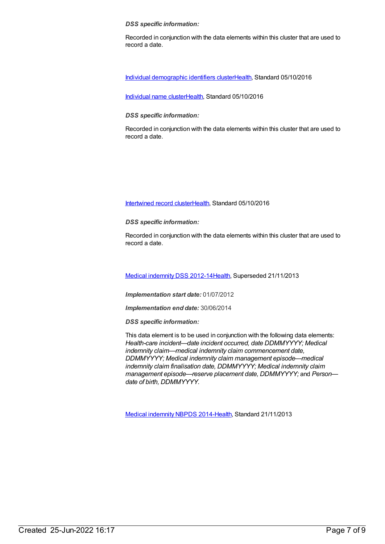#### *DSS specific information:*

Recorded in conjunction with the data elements within this cluster that are used to record a date.

Individual [demographic](https://meteor.aihw.gov.au/content/528542) identifiers cluste[rHealth](https://meteor.aihw.gov.au/RegistrationAuthority/12), Standard 05/10/2016

[Individual](https://meteor.aihw.gov.au/content/528153) name cluste[rHealth](https://meteor.aihw.gov.au/RegistrationAuthority/12), Standard 05/10/2016

#### *DSS specific information:*

Recorded in conjunction with the data elements within this cluster that are used to record a date.

### [Intertwined](https://meteor.aihw.gov.au/content/638713) record cluste[rHealth](https://meteor.aihw.gov.au/RegistrationAuthority/12), Standard 05/10/2016

*DSS specific information:*

Recorded in conjunction with the data elements within this cluster that are used to record a date.

Medical [indemnity](https://meteor.aihw.gov.au/content/329638) DSS 2012-1[4Health](https://meteor.aihw.gov.au/RegistrationAuthority/12), Superseded 21/11/2013

*Implementation start date:* 01/07/2012

*Implementation end date:* 30/06/2014

*DSS specific information:*

This data element is to be used in conjunction with the following data elements: *Health-care incident—date incident occurred, date DDMMYYYY; Medical indemnity claim—medical indemnity claim commencement date, DDMMYYYY; Medical indemnity claim management episode—medical indemnity claim finalisation date, DDMMYYYY; Medical indemnity claim management episode—reserve placement date, DDMMYYYY;* and *Person date of birth, DDMMYYYY.*

Medical [indemnity](https://meteor.aihw.gov.au/content/531844) NBPDS 2014[-Health](https://meteor.aihw.gov.au/RegistrationAuthority/12), Standard 21/11/2013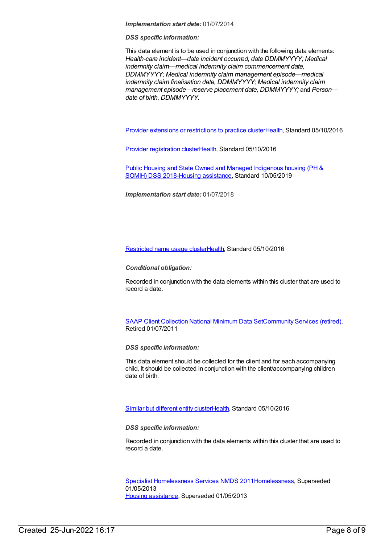*Implementation start date:* 01/07/2014

*DSS specific information:*

This data element is to be used in conjunction with the following data elements: *Health-care incident—date incident occurred, date DDMMYYYY; Medical indemnity claim—medical indemnity claim commencement date, DDMMYYYY; Medical indemnity claim management episode—medical indemnity claim finalisation date, DDMMYYYY; Medical indemnity claim management episode—reserve placement date, DDMMYYYY;* and *Person date of birth, DDMMYYYY.*

Provider extensions or [restrictions](https://meteor.aihw.gov.au/content/525018) to practice cluste[rHealth](https://meteor.aihw.gov.au/RegistrationAuthority/12), Standard 05/10/2016

Provider [registration](https://meteor.aihw.gov.au/content/524039) cluste[rHealth](https://meteor.aihw.gov.au/RegistrationAuthority/12), Standard 05/10/2016

Public Housing and State Owned and Managed Indigenous housing (PH & SOMIH) DSS [2018-Housing](https://meteor.aihw.gov.au/content/711016) [assistance](https://meteor.aihw.gov.au/RegistrationAuthority/11), Standard 10/05/2019

*Implementation start date:* 01/07/2018

[Restricted](https://meteor.aihw.gov.au/content/528167) name usage cluste[rHealth](https://meteor.aihw.gov.au/RegistrationAuthority/12), Standard 05/10/2016

*Conditional obligation:*

Recorded in conjunction with the data elements within this cluster that are used to record a date.

SAAP Client [Collection](https://meteor.aihw.gov.au/content/339019) National Minimum Data Se[tCommunity](https://meteor.aihw.gov.au/RegistrationAuthority/1) Services (retired), Retired 01/07/2011

*DSS specific information:*

This data element should be collected for the client and for each accompanying child. It should be collected in conjunction with the client/accompanying children date of birth.

Similar but [different](https://meteor.aihw.gov.au/content/554856) entity cluste[rHealth](https://meteor.aihw.gov.au/RegistrationAuthority/12), Standard 05/10/2016

*DSS specific information:*

Recorded in conjunction with the data elements within this cluster that are used to record a date.

Specialist [Homelessness](https://meteor.aihw.gov.au/content/398238) Services NMDS 201[1Homelessness](https://meteor.aihw.gov.au/RegistrationAuthority/14), Superseded 01/05/2013 Housing [assistance](https://meteor.aihw.gov.au/RegistrationAuthority/11), Superseded 01/05/2013